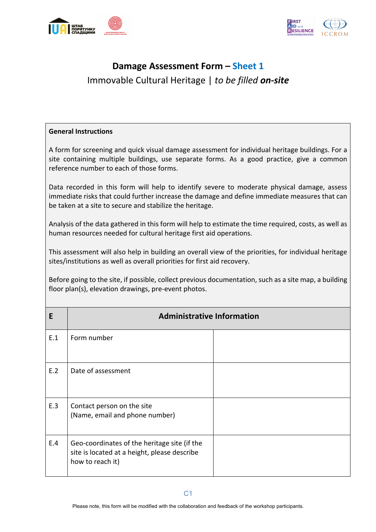



## **Damage Assessment Form – Sheet 1** Immovable Cultural Heritage | *to be filled on-site*

## **General Instructions**

A form for screening and quick visual damage assessment for individual heritage buildings. For a site containing multiple buildings, use separate forms. As a good practice, give a common reference number to each of those forms.

Data recorded in this form will help to identify severe to moderate physical damage, assess immediate risks that could further increase the damage and define immediate measures that can be taken at a site to secure and stabilize the heritage.

Analysis of the data gathered in this form will help to estimate the time required, costs, as well as human resources needed for cultural heritage first aid operations.

This assessment will also help in building an overall view of the priorities, for individual heritage sites/institutions as well as overall priorities for first aid recovery.

Before going to the site, if possible, collect previous documentation, such as a site map, a building floor plan(s), elevation drawings, pre-event photos.

| E   | <b>Administrative Information</b>                                                                                |  |  |  |  |  |  |  |  |  |  |
|-----|------------------------------------------------------------------------------------------------------------------|--|--|--|--|--|--|--|--|--|--|
| E.1 | Form number                                                                                                      |  |  |  |  |  |  |  |  |  |  |
| E.2 | Date of assessment                                                                                               |  |  |  |  |  |  |  |  |  |  |
| E.3 | Contact person on the site<br>(Name, email and phone number)                                                     |  |  |  |  |  |  |  |  |  |  |
| E.4 | Geo-coordinates of the heritage site (if the<br>site is located at a height, please describe<br>how to reach it) |  |  |  |  |  |  |  |  |  |  |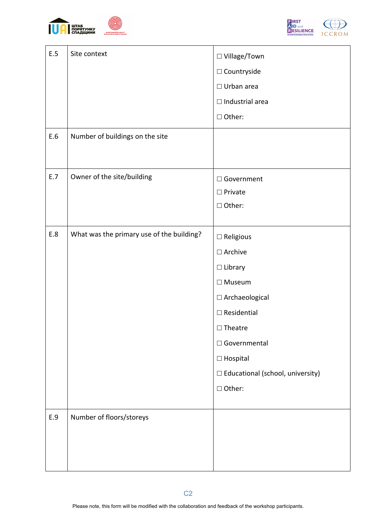



| E.5 | Site context                              | $\square$ Village/Town<br>$\square$ Countryside<br>$\Box$ Urban area<br>$\Box$ Industrial area<br>□ Other:                                                                                                                                    |
|-----|-------------------------------------------|-----------------------------------------------------------------------------------------------------------------------------------------------------------------------------------------------------------------------------------------------|
| E.6 | Number of buildings on the site           |                                                                                                                                                                                                                                               |
| E.7 | Owner of the site/building                | □ Government<br>$\square$ Private<br>□ Other:                                                                                                                                                                                                 |
| E.8 | What was the primary use of the building? | $\Box$ Religious<br>$\square$ Archive<br>$\Box$ Library<br>$\Box$ Museum<br>$\Box$ Archaeological<br>$\Box$ Residential<br>$\Box$ Theatre<br>□ Governmental<br>$\Box$ Hospital<br>$\Box$ Educational (school, university)<br>$\square$ Other: |
| E.9 | Number of floors/storeys                  |                                                                                                                                                                                                                                               |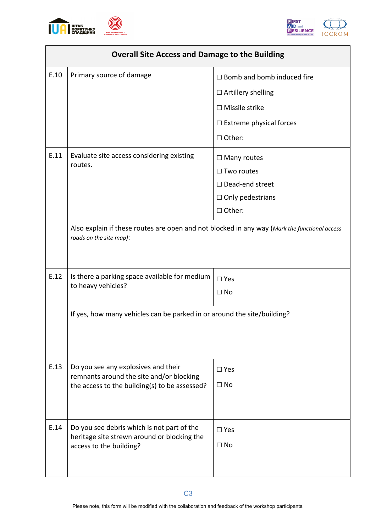



|      | <b>Overall Site Access and Damage to the Building</b>                                                                            |                                                                   |  |  |  |  |  |
|------|----------------------------------------------------------------------------------------------------------------------------------|-------------------------------------------------------------------|--|--|--|--|--|
| E.10 | Primary source of damage                                                                                                         | $\Box$ Bomb and bomb induced fire                                 |  |  |  |  |  |
|      |                                                                                                                                  | $\Box$ Artillery shelling                                         |  |  |  |  |  |
|      |                                                                                                                                  | $\Box$ Missile strike                                             |  |  |  |  |  |
|      |                                                                                                                                  | $\Box$ Extreme physical forces                                    |  |  |  |  |  |
|      |                                                                                                                                  | $\Box$ Other:                                                     |  |  |  |  |  |
| E.11 | Evaluate site access considering existing<br>routes.                                                                             | $\Box$ Many routes<br>$\Box$ Two routes<br>$\Box$ Dead-end street |  |  |  |  |  |
|      |                                                                                                                                  | $\Box$ Only pedestrians                                           |  |  |  |  |  |
|      |                                                                                                                                  | □ Other:                                                          |  |  |  |  |  |
|      | Also explain if these routes are open and not blocked in any way (Mark the functional access<br>roads on the site map):          |                                                                   |  |  |  |  |  |
| E.12 | Is there a parking space available for medium<br>to heavy vehicles?                                                              | $\square$ Yes<br>$\Box$ No                                        |  |  |  |  |  |
|      | If yes, how many vehicles can be parked in or around the site/building?                                                          |                                                                   |  |  |  |  |  |
| E.13 | Do you see any explosives and their<br>remnants around the site and/or blocking<br>the access to the building(s) to be assessed? | $\square$ Yes<br>$\Box$ No                                        |  |  |  |  |  |
| E.14 | Do you see debris which is not part of the<br>heritage site strewn around or blocking the<br>access to the building?             | $\square$ Yes<br>$\Box$ No                                        |  |  |  |  |  |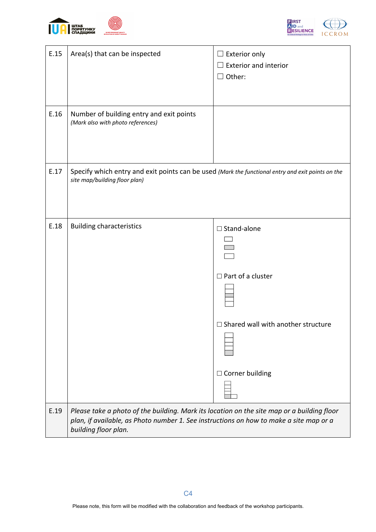



| E.15 | Area(s) that can be inspected                                                                                                                                                                                | $\Box$ Exterior only<br>$\Box$ Exterior and interior<br>$\Box$ Other:                                                 |
|------|--------------------------------------------------------------------------------------------------------------------------------------------------------------------------------------------------------------|-----------------------------------------------------------------------------------------------------------------------|
| E.16 | Number of building entry and exit points<br>(Mark also with photo references)                                                                                                                                |                                                                                                                       |
| E.17 | Specify which entry and exit points can be used (Mark the functional entry and exit points on the<br>site map/building floor plan)                                                                           |                                                                                                                       |
| E.18 | <b>Building characteristics</b>                                                                                                                                                                              | $\Box$ Stand-alone<br>$\Box$ Part of a cluster<br>$\Box$ Shared wall with another structure<br>$\Box$ Corner building |
| E.19 | Please take a photo of the building. Mark its location on the site map or a building floor<br>plan, if available, as Photo number 1. See instructions on how to make a site map or a<br>building floor plan. |                                                                                                                       |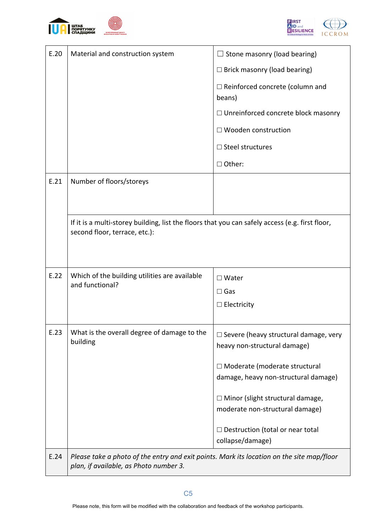



| E.20 | Material and construction system                                                                                                    | $\Box$ Stone masonry (load bearing)                                          |  |  |  |  |  |
|------|-------------------------------------------------------------------------------------------------------------------------------------|------------------------------------------------------------------------------|--|--|--|--|--|
|      |                                                                                                                                     | $\Box$ Brick masonry (load bearing)                                          |  |  |  |  |  |
|      |                                                                                                                                     | $\Box$ Reinforced concrete (column and<br>beans)                             |  |  |  |  |  |
|      |                                                                                                                                     | $\Box$ Unreinforced concrete block masonry                                   |  |  |  |  |  |
|      |                                                                                                                                     | □ Wooden construction                                                        |  |  |  |  |  |
|      |                                                                                                                                     | $\Box$ Steel structures                                                      |  |  |  |  |  |
|      |                                                                                                                                     | $\Box$ Other:                                                                |  |  |  |  |  |
| E.21 | Number of floors/storeys                                                                                                            |                                                                              |  |  |  |  |  |
|      |                                                                                                                                     |                                                                              |  |  |  |  |  |
|      | If it is a multi-storey building, list the floors that you can safely access (e.g. first floor,<br>second floor, terrace, etc.):    |                                                                              |  |  |  |  |  |
|      |                                                                                                                                     |                                                                              |  |  |  |  |  |
| E.22 | Which of the building utilities are available<br>and functional?                                                                    | $\Box$ Water                                                                 |  |  |  |  |  |
|      |                                                                                                                                     | $\Box$ Gas                                                                   |  |  |  |  |  |
|      |                                                                                                                                     | $\Box$ Electricity                                                           |  |  |  |  |  |
| E.23 | What is the overall degree of damage to the<br>building                                                                             | $\Box$ Severe (heavy structural damage, very<br>heavy non-structural damage) |  |  |  |  |  |
|      |                                                                                                                                     | □ Moderate (moderate structural                                              |  |  |  |  |  |
|      |                                                                                                                                     | damage, heavy non-structural damage)                                         |  |  |  |  |  |
|      |                                                                                                                                     | $\Box$ Minor (slight structural damage,                                      |  |  |  |  |  |
|      |                                                                                                                                     | moderate non-structural damage)                                              |  |  |  |  |  |
|      |                                                                                                                                     | $\Box$ Destruction (total or near total<br>collapse/damage)                  |  |  |  |  |  |
| E.24 | Please take a photo of the entry and exit points. Mark its location on the site map/floor<br>plan, if available, as Photo number 3. |                                                                              |  |  |  |  |  |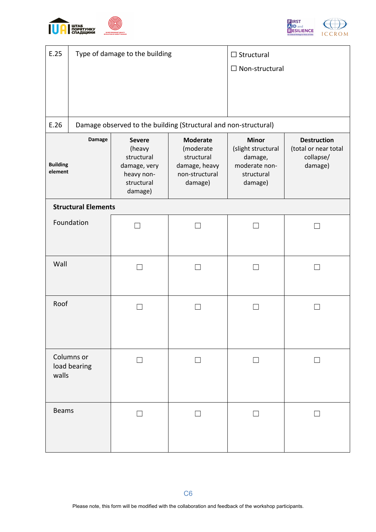



| E.25                                 |                            | Type of damage to the building                                                               | $\Box$ Structural<br>$\Box$ Non-structural                                               |                                                                                                                                                               |  |  |  |  |  |  |
|--------------------------------------|----------------------------|----------------------------------------------------------------------------------------------|------------------------------------------------------------------------------------------|---------------------------------------------------------------------------------------------------------------------------------------------------------------|--|--|--|--|--|--|
| E.26                                 |                            |                                                                                              | Damage observed to the building (Structural and non-structural)                          |                                                                                                                                                               |  |  |  |  |  |  |
| Damage<br><b>Building</b><br>element |                            | <b>Severe</b><br>(heavy<br>structural<br>damage, very<br>heavy non-<br>structural<br>damage) | <b>Moderate</b><br>(moderate<br>structural<br>damage, heavy<br>non-structural<br>damage) | <b>Minor</b><br><b>Destruction</b><br>(slight structural<br>(total or near total<br>collapse/<br>damage,<br>moderate non-<br>damage)<br>structural<br>damage) |  |  |  |  |  |  |
|                                      | <b>Structural Elements</b> |                                                                                              |                                                                                          |                                                                                                                                                               |  |  |  |  |  |  |
|                                      | Foundation                 |                                                                                              | - 1                                                                                      |                                                                                                                                                               |  |  |  |  |  |  |
| Wall                                 |                            | $\overline{\phantom{a}}$                                                                     | - 1                                                                                      | $\blacksquare$                                                                                                                                                |  |  |  |  |  |  |
| Roof                                 |                            |                                                                                              |                                                                                          |                                                                                                                                                               |  |  |  |  |  |  |
| walls                                | Columns or<br>load bearing |                                                                                              |                                                                                          |                                                                                                                                                               |  |  |  |  |  |  |
| <b>Beams</b>                         |                            |                                                                                              |                                                                                          |                                                                                                                                                               |  |  |  |  |  |  |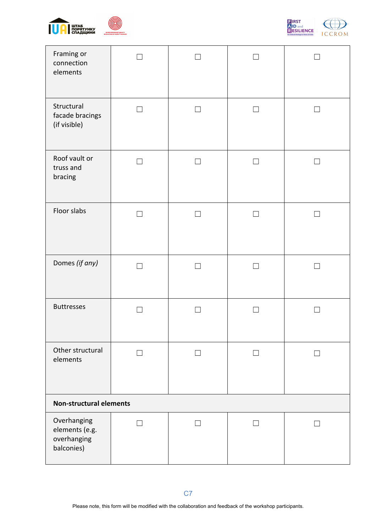





| Framing or<br>connection<br>elements                       |                |                |                          |                          |
|------------------------------------------------------------|----------------|----------------|--------------------------|--------------------------|
| Structural<br>facade bracings<br>(if visible)              | $\blacksquare$ | $\mathsf{L}$   | $\Box$                   | П                        |
| Roof vault or<br>truss and<br>bracing                      |                | $\blacksquare$ | П                        | $\Box$                   |
| Floor slabs                                                |                |                | $\overline{\phantom{a}}$ |                          |
| Domes (if any)                                             |                |                | $\Box$                   | $\overline{\phantom{a}}$ |
| <b>Buttresses</b>                                          |                |                |                          | $\mathcal{L}$            |
| Other structural<br>elements                               |                |                |                          | $\overline{\phantom{a}}$ |
| <b>Non-structural elements</b>                             |                |                |                          |                          |
| Overhanging<br>elements (e.g.<br>overhanging<br>balconies) | $\mathsf{L}$   | $\mathsf{L}$   | П                        | $\perp$                  |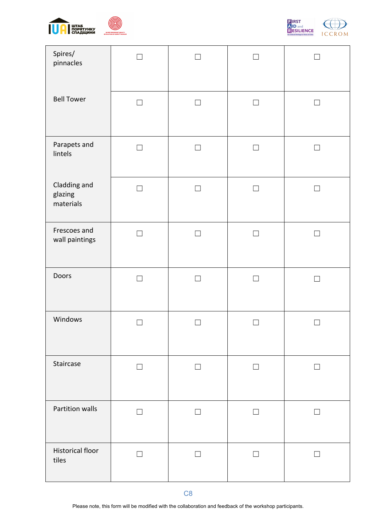





| Spires/<br>pinnacles                 |                          |                |                |                   |
|--------------------------------------|--------------------------|----------------|----------------|-------------------|
| <b>Bell Tower</b>                    | П                        | $\blacksquare$ | $\Box$         | $\vert \ \ \vert$ |
| Parapets and<br>lintels              | $\Box$                   | П              | $\Box$         | П                 |
| Cladding and<br>glazing<br>materials | $\mathcal{L}$            | $\mathcal{L}$  | $\blacksquare$ |                   |
| Frescoes and<br>wall paintings       | $\mathcal{L}$            |                | - 1            |                   |
| Doors                                | $\mathcal{A}$            |                | $\blacksquare$ |                   |
| Windows                              |                          |                |                |                   |
| Staircase                            | $\Box$                   | П              | $\Box$         | $\perp$           |
| Partition walls                      | $\Box$                   | $\mathcal{L}$  | $\blacksquare$ | $\vert \ \ \vert$ |
| <b>Historical floor</b><br>tiles     | $\overline{\phantom{a}}$ | $\Box$         | $\Box$         | $\perp$           |

C8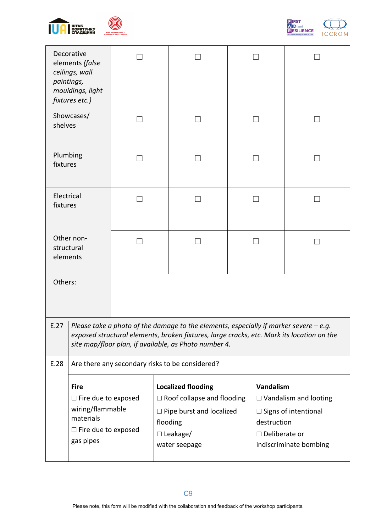



|                        | Decorative<br>elements (false<br>ceilings, wall<br>paintings,<br>mouldings, light<br>fixtures etc.)                   |  |                                                                                                                                                                                                                                              |                                                                                                                                              |  |  |  |  |
|------------------------|-----------------------------------------------------------------------------------------------------------------------|--|----------------------------------------------------------------------------------------------------------------------------------------------------------------------------------------------------------------------------------------------|----------------------------------------------------------------------------------------------------------------------------------------------|--|--|--|--|
| shelves                | Showcases/                                                                                                            |  |                                                                                                                                                                                                                                              |                                                                                                                                              |  |  |  |  |
| fixtures               | Plumbing                                                                                                              |  |                                                                                                                                                                                                                                              | $\overline{\phantom{0}}$                                                                                                                     |  |  |  |  |
| Electrical<br>fixtures |                                                                                                                       |  |                                                                                                                                                                                                                                              | ┓                                                                                                                                            |  |  |  |  |
|                        | Other non-<br>structural<br>elements                                                                                  |  |                                                                                                                                                                                                                                              |                                                                                                                                              |  |  |  |  |
| Others:                |                                                                                                                       |  |                                                                                                                                                                                                                                              |                                                                                                                                              |  |  |  |  |
| E.27                   |                                                                                                                       |  | Please take a photo of the damage to the elements, especially if marker severe $-e.g.$<br>exposed structural elements, broken fixtures, large cracks, etc. Mark its location on the<br>site map/floor plan, if available, as Photo number 4. |                                                                                                                                              |  |  |  |  |
| E.28                   |                                                                                                                       |  | Are there any secondary risks to be considered?                                                                                                                                                                                              |                                                                                                                                              |  |  |  |  |
|                        | <b>Fire</b><br>$\Box$ Fire due to exposed<br>wiring/flammable<br>materials<br>$\Box$ Fire due to exposed<br>gas pipes |  | <b>Localized flooding</b><br>$\Box$ Roof collapse and flooding<br>$\Box$ Pipe burst and localized<br>flooding<br>$\Box$ Leakage/<br>water seepage                                                                                            | Vandalism<br>$\Box$ Vandalism and looting<br>$\Box$ Signs of intentional<br>destruction<br>$\square$ Deliberate or<br>indiscriminate bombing |  |  |  |  |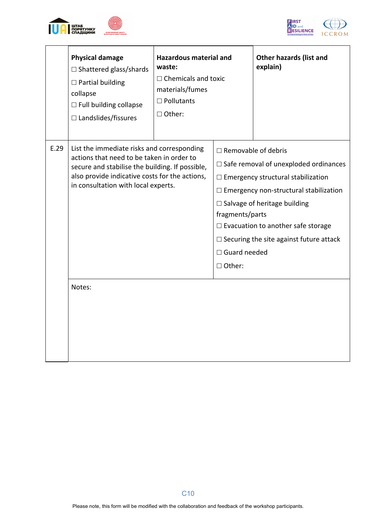



|      | <b>Physical damage</b><br>$\Box$ Shattered glass/shards<br>$\Box$ Partial building<br>collapse<br>$\Box$ Full building collapse<br>$\Box$ Landslides/fissures                                                                       | <b>Hazardous material and</b><br>waste:<br>$\Box$ Chemicals and toxic<br>materials/fumes<br>$\Box$ Pollutants<br>□ Other: |                                                                                                                                                                                                                                                                                                                                                                      | <b>Other hazards (list and</b><br>explain) |  |  |  |  |  |
|------|-------------------------------------------------------------------------------------------------------------------------------------------------------------------------------------------------------------------------------------|---------------------------------------------------------------------------------------------------------------------------|----------------------------------------------------------------------------------------------------------------------------------------------------------------------------------------------------------------------------------------------------------------------------------------------------------------------------------------------------------------------|--------------------------------------------|--|--|--|--|--|
| E.29 | List the immediate risks and corresponding<br>actions that need to be taken in order to<br>secure and stabilise the building. If possible,<br>also provide indicative costs for the actions,<br>in consultation with local experts. |                                                                                                                           | $\Box$ Removable of debris<br>$\Box$ Safe removal of unexploded ordinances<br>$\Box$ Emergency structural stabilization<br>$\Box$ Emergency non-structural stabilization<br>$\Box$ Salvage of heritage building<br>fragments/parts<br>$\Box$ Evacuation to another safe storage<br>$\Box$ Securing the site against future attack<br>$\Box$ Guard needed<br>□ Other: |                                            |  |  |  |  |  |
|      | Notes:                                                                                                                                                                                                                              |                                                                                                                           |                                                                                                                                                                                                                                                                                                                                                                      |                                            |  |  |  |  |  |